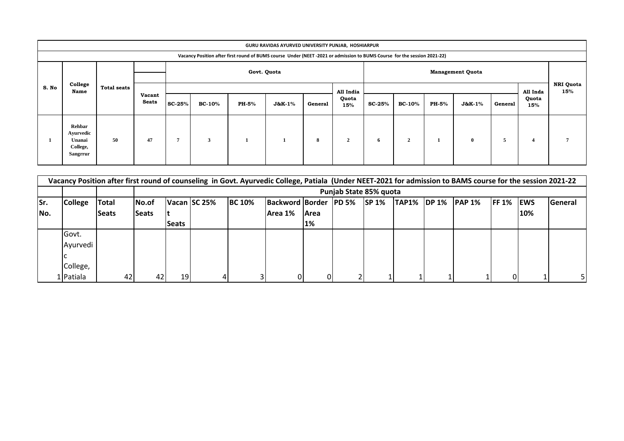| GURU RAVIDAS AYURVED UNIVERSITY PUNJAB, HOSHIARPUR |                                                                                                                          |                    |                        |               |               |             |                           |         |                         |               |                |       |                   |          |                         |  |
|----------------------------------------------------|--------------------------------------------------------------------------------------------------------------------------|--------------------|------------------------|---------------|---------------|-------------|---------------------------|---------|-------------------------|---------------|----------------|-------|-------------------|----------|-------------------------|--|
|                                                    | Vacancy Position after first round of BUMS course Under (NEET -2021 or admission to BUMS Course for the session 2021-22) |                    |                        |               |               |             |                           |         |                         |               |                |       |                   |          |                         |  |
|                                                    |                                                                                                                          | <b>Total seats</b> |                        |               |               | Govt. Quota |                           |         | <b>Management Quota</b> |               |                |       |                   |          |                         |  |
| S. No                                              | College<br>Name                                                                                                          |                    | Vacant<br><b>Seats</b> |               |               |             |                           |         |                         | All India     |                |       |                   | All Inda | <b>NRI Quota</b><br>15% |  |
|                                                    |                                                                                                                          |                    |                        | <b>SC-25%</b> | <b>BC-10%</b> | PH-5%       | ${\bf J}$ &K- ${\bf 1\%}$ | General | Quota<br>15%            | <b>SC-25%</b> | <b>BC-10%</b>  | PH-5% | <b>J&amp;K-1%</b> | General  | Quota<br>15%            |  |
|                                                    | Rehbar<br>Ayurvedic<br>Unanai<br>College,<br>Sangrrur                                                                    | 50                 | 47                     | 7             | $\mathbf{3}$  | л           |                           | 8       | $\overline{2}$          | 6             | $\overline{2}$ |       | $\bf{0}$          | 5        | $\overline{\mathbf{4}}$ |  |

|     | Vacancy Position after first round of counseling in Govt. Ayurvedic College, Patiala (Under NEET-2021 for admission to BAMS course for the session 2021-22 |              |              |                                                                                                                                                                            |  |  |         |             |  |  |  |  |  |  |     |  |
|-----|------------------------------------------------------------------------------------------------------------------------------------------------------------|--------------|--------------|----------------------------------------------------------------------------------------------------------------------------------------------------------------------------|--|--|---------|-------------|--|--|--|--|--|--|-----|--|
|     |                                                                                                                                                            |              |              | Punjab State 85% quota                                                                                                                                                     |  |  |         |             |  |  |  |  |  |  |     |  |
| Sr. | <b>College</b>                                                                                                                                             | <b>Total</b> | lNo.of       | <b>BC 10%</b><br>Backword Border PD 5%<br>Vacan SC 25%<br><b>SP 1%</b><br><b>TAP1%</b><br><b>FF 1% EWS</b><br>$\mathsf{IDP}\, 1\%$<br>IPAP <sub>1%</sub><br><b>General</b> |  |  |         |             |  |  |  |  |  |  |     |  |
| No. |                                                                                                                                                            | <b>Seats</b> | <b>Seats</b> |                                                                                                                                                                            |  |  | Area 1% | <b>Area</b> |  |  |  |  |  |  | 10% |  |
|     |                                                                                                                                                            |              |              | <b>Seats</b>                                                                                                                                                               |  |  |         | 1%          |  |  |  |  |  |  |     |  |
|     | Govt.                                                                                                                                                      |              |              |                                                                                                                                                                            |  |  |         |             |  |  |  |  |  |  |     |  |
|     | <b>Avurvedi</b>                                                                                                                                            |              |              |                                                                                                                                                                            |  |  |         |             |  |  |  |  |  |  |     |  |
|     |                                                                                                                                                            |              |              |                                                                                                                                                                            |  |  |         |             |  |  |  |  |  |  |     |  |
|     | College,                                                                                                                                                   |              |              |                                                                                                                                                                            |  |  |         |             |  |  |  |  |  |  |     |  |
|     | L Patiala                                                                                                                                                  | 42           | 42           | 19                                                                                                                                                                         |  |  |         |             |  |  |  |  |  |  |     |  |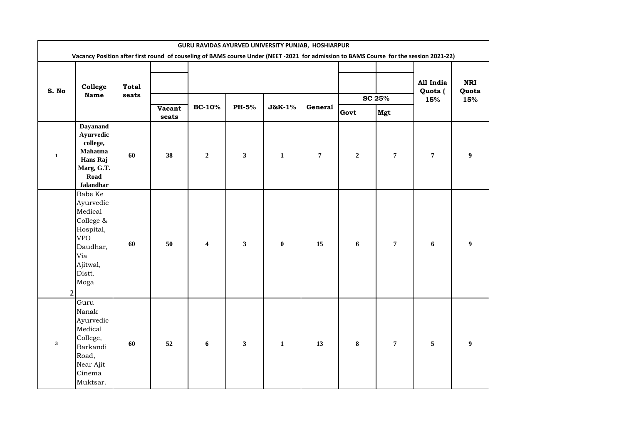|              | GURU RAVIDAS AYURVED UNIVERSITY PUNJAB, HOSHIARPUR<br>Vacancy Position after first round of couseling of BAMS course Under (NEET -2021 for admission to BAMS Course for the session 2021-22) |                       |                 |                         |              |                  |                |                       |                  |                             |                            |  |  |  |
|--------------|----------------------------------------------------------------------------------------------------------------------------------------------------------------------------------------------|-----------------------|-----------------|-------------------------|--------------|------------------|----------------|-----------------------|------------------|-----------------------------|----------------------------|--|--|--|
|              |                                                                                                                                                                                              |                       |                 |                         |              |                  |                |                       |                  |                             |                            |  |  |  |
| S. No        | College<br><b>Name</b>                                                                                                                                                                       | <b>Total</b><br>seats | Vacant<br>seats | <b>BC-10%</b>           | <b>PH-5%</b> | J&K-1%           | General        | SC 25%<br>Govt<br>Mgt |                  | All India<br>Quota (<br>15% | <b>NRI</b><br>Quota<br>15% |  |  |  |
| $\mathbf{1}$ | <b>Dayanand</b><br>Ayurvedic<br>college,<br>Mahatma<br>Hans Raj<br>Marg, G.T.<br>Road<br><b>Jalandhar</b>                                                                                    | 60                    | 38              | $\mathbf 2$             | $\mathbf{3}$ | $\mathbf{1}$     | $\overline{7}$ | $\overline{2}$        | $\overline{7}$   | $\pmb{7}$                   | $\boldsymbol{9}$           |  |  |  |
|              | Babe Ke<br>Ayurvedic<br>Medical<br>College &<br>Hospital,<br><b>VPO</b><br>Daudhar,<br>Via<br>Ajitwal,<br>Distt.<br>Moga<br>$\overline{2}$                                                   | 60                    | 50              | $\overline{\mathbf{4}}$ | $\mathbf{3}$ | $\boldsymbol{0}$ | 15             | 6                     | $\overline{7}$   | $\boldsymbol{6}$            | $\boldsymbol{9}$           |  |  |  |
| $\mathbf{3}$ | Guru<br>Nanak<br>Ayurvedic<br>Medical<br>College,<br>Barkandi<br>Road,<br>Near Ajit<br>Cinema<br>Muktsar.                                                                                    | 60                    | 52              | 6                       | $\mathbf{3}$ | $\mathbf{1}$     | 13             | 8                     | $\boldsymbol{7}$ | 5                           | 9                          |  |  |  |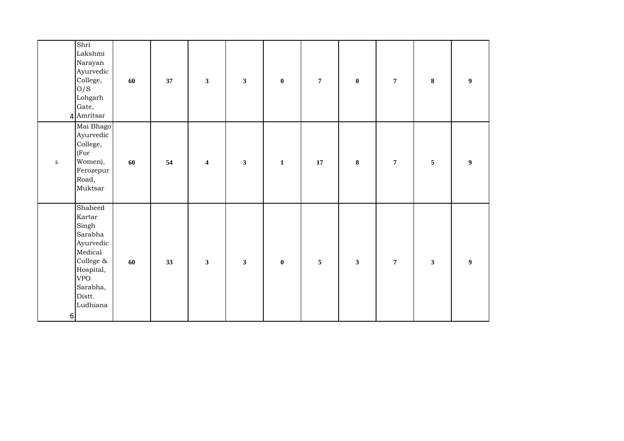|            | Shri<br>Lakshmi<br>Narayan<br>Ayurvedic<br>College,<br>O/S<br>Lohgarh<br>Gate,<br>4 Amritsar                                            | 60 | 37 | $\mathbf{3}$     | $\mathbf{3}$ | $\bf{0}$     | $\overline{7}$ | $\boldsymbol{0}$ | $\overline{7}$   | $\bf{8}$     | $\boldsymbol{9}$ |  |
|------------|-----------------------------------------------------------------------------------------------------------------------------------------|----|----|------------------|--------------|--------------|----------------|------------------|------------------|--------------|------------------|--|
| $\sqrt{5}$ | Mai Bhago<br>Ayurvedic<br>College,<br>(For<br>Women),<br>Ferozepur<br>Road,<br>Muktsar                                                  | 60 | 54 | $\boldsymbol{4}$ | $\mathbf{3}$ | $\mathbf{1}$ | 17             | ${\bf 8}$        | $\boldsymbol{7}$ | $\sqrt{5}$   | $\boldsymbol{9}$ |  |
| 6          | Shaheed<br>Kartar<br>Singh<br>Sarabha<br>Ayurvedic<br>Medical<br>College &<br>Hospital,<br><b>VPO</b><br>Sarabha,<br>Distt.<br>Ludhiana | 60 | 33 | $\mathbf{3}$     | $\mathbf{3}$ | $\bf{0}$     | $\sqrt{5}$     | $\mathbf{3}$     | $\overline{7}$   | $\mathbf{3}$ | $\boldsymbol{9}$ |  |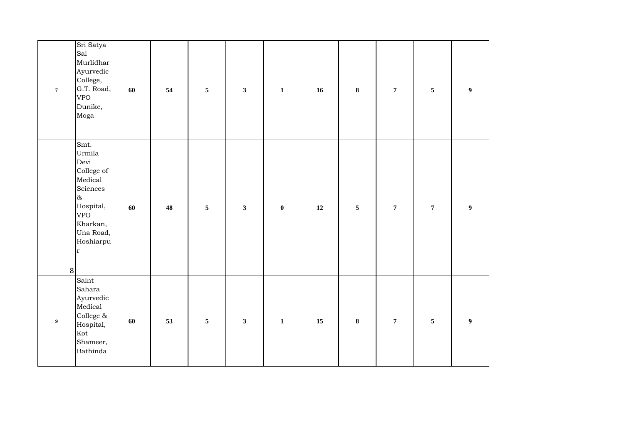| $\boldsymbol{7}$ | Sri Satya<br>Sai<br>Murlidhar<br>Ayurvedic<br>College,<br>G.T. Road,<br><b>VPO</b><br>Dunike,<br>Moga                                               | 60 | 54 | $\sqrt{5}$              | $\mathbf{3}$            | $\mathbf{1}$ | 16     | $\bf 8$    | $\overline{7}$ | $\overline{5}$ | $\overline{\mathbf{9}}$ |
|------------------|-----------------------------------------------------------------------------------------------------------------------------------------------------|----|----|-------------------------|-------------------------|--------------|--------|------------|----------------|----------------|-------------------------|
| 8                | Smt.<br>Urmila<br>Devi<br>College of<br>Medical<br>Sciences<br>$\infty$<br>Hospital,<br><b>VPO</b><br>Kharkan,<br>Una Road,<br>Hoshiarpu<br>$\bf r$ | 60 | 48 | $\overline{\mathbf{5}}$ | $\mathbf{3}$            | $\bf{0}$     | $12\,$ | $\sqrt{5}$ | $\overline{7}$ | $\overline{7}$ | $\boldsymbol{9}$        |
| $\boldsymbol{9}$ | Saint<br>Sahara<br>Ayurvedic<br>Medical<br>College $\&$<br>Hospital,<br>Kot<br>Shameer,<br>Bathinda                                                 | 60 | 53 | $\overline{\mathbf{5}}$ | $\overline{\mathbf{3}}$ | $\mathbf 1$  | $15\,$ | $\bf 8$    | $\overline{7}$ | 5              | $\overline{\mathbf{9}}$ |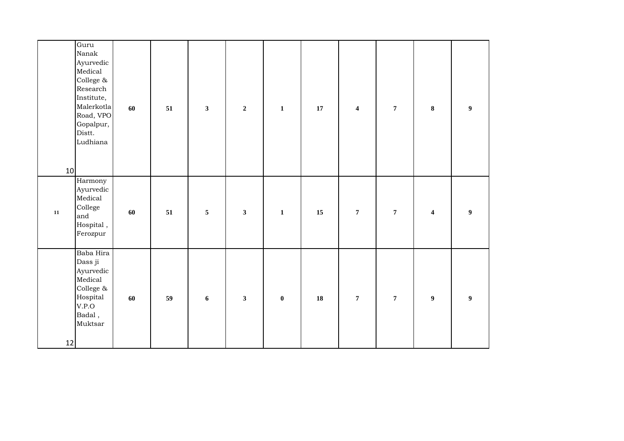| 10         | Guru<br>Nanak<br>Ayurvedic<br>Medical<br>College &<br>Research<br>Institute,<br>Malerkotla<br>Road, VPO<br>Gopalpur,<br>Distt.<br>Ludhiana | 60 | 51 | $\mathbf{3}$     | $\mathbf 2$  | $\mathbf{1}$     | 17 | $\overline{\mathbf{4}}$ | $\overline{7}$ | $\bf 8$                 | $\boldsymbol{9}$ |
|------------|--------------------------------------------------------------------------------------------------------------------------------------------|----|----|------------------|--------------|------------------|----|-------------------------|----------------|-------------------------|------------------|
| ${\bf 11}$ | Harmony<br>Ayurvedic<br>Medical<br>College<br>and<br>Hospital,<br>Ferozpur                                                                 | 60 | 51 | $\sqrt{5}$       | $\mathbf{3}$ | $\mathbf 1$      | 15 | $\boldsymbol{7}$        | $\overline{7}$ | $\overline{\mathbf{4}}$ | $\boldsymbol{9}$ |
| 12         | Baba Hira<br>Dass ji<br>Ayurvedic<br>Medical<br>College &<br>Hospital<br>V.P.O<br>Badal,<br>Muktsar                                        | 60 | 59 | $\boldsymbol{6}$ | $\mathbf{3}$ | $\boldsymbol{0}$ | 18 | $\overline{7}$          | $\overline{7}$ | $\boldsymbol{9}$        | $\boldsymbol{9}$ |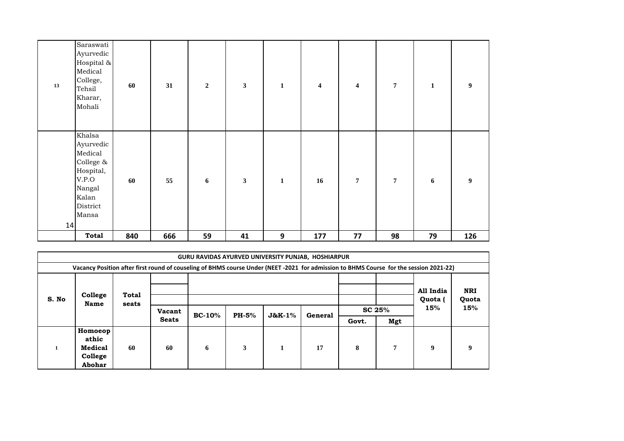| 13 | Saraswati<br>Ayurvedic<br>Hospital &<br>Medical<br>College,<br>Tehsil<br>Kharar,<br>Mohali                | 60  | 31  | $\mathbf 2$      | $\mathbf{3}$ | $\mathbf 1$  | $\overline{\mathbf{4}}$ | $\overline{\mathbf{4}}$ | $\overline{7}$ | $\mathbf 1$      | $\boldsymbol{9}$ |
|----|-----------------------------------------------------------------------------------------------------------|-----|-----|------------------|--------------|--------------|-------------------------|-------------------------|----------------|------------------|------------------|
| 14 | Khalsa<br>Ayurvedic<br>Medical<br>College &<br>Hospital,<br>V.P.O<br>Nangal<br>Kalan<br>District<br>Mansa | 60  | 55  | $\boldsymbol{6}$ | $\mathbf{3}$ | $\mathbf{1}$ | 16                      | $\overline{7}$          | $\overline{7}$ | $\boldsymbol{6}$ | $\boldsymbol{9}$ |
|    | <b>Total</b>                                                                                              | 840 | 666 | 59               | 41           | 9            | 177                     | 77                      | 98             | 79               | 126              |

|       | <b>GURU RAVIDAS AYURVED UNIVERSITY PUNJAB, HOSHIARPUR</b>                                                                              |                       |               |          |              |          |         |        |     |                      |                     |  |  |
|-------|----------------------------------------------------------------------------------------------------------------------------------------|-----------------------|---------------|----------|--------------|----------|---------|--------|-----|----------------------|---------------------|--|--|
|       | Vacancy Position after first round of couseling of BHMS course Under (NEET -2021 for admission to BHMS Course for the session 2021-22) |                       |               |          |              |          |         |        |     |                      |                     |  |  |
| S. No | College<br><b>Name</b>                                                                                                                 | <b>Total</b><br>seats |               |          |              |          |         |        |     | All India<br>Quota ( | <b>NRI</b><br>Quota |  |  |
|       |                                                                                                                                        |                       | <b>Vacant</b> | $BC-10%$ | <b>PH-5%</b> | $J&K-1%$ | General | SC 25% |     | 15%                  | 15%                 |  |  |
|       |                                                                                                                                        |                       | <b>Seats</b>  |          |              |          |         | Govt.  | Mgt |                      |                     |  |  |
|       | Homoeop<br>athic<br>Medical<br>College<br>Abohar                                                                                       | 60                    | 60            | 6        | 3            | 1        | 17      | 8      | 7   | $\mathbf Q$          | 9                   |  |  |